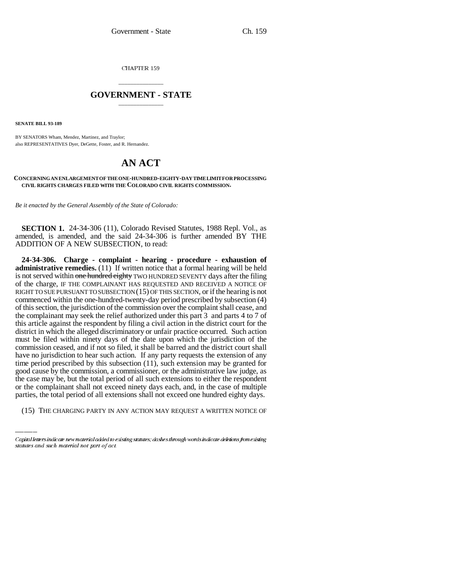CHAPTER 159

## \_\_\_\_\_\_\_\_\_\_\_\_\_\_\_ **GOVERNMENT - STATE** \_\_\_\_\_\_\_\_\_\_\_\_\_\_\_

**SENATE BILL 93-189**

BY SENATORS Wham, Mendez, Martinez, and Traylor; also REPRESENTATIVES Dyer, DeGette, Foster, and R. Hernandez.

## **AN ACT**

## **CONCERNING AN ENLARGEMENT OF THE ONE-HUNDRED-EIGHTY-DAY TIME LIMIT FOR PROCESSING CIVIL RIGHTS CHARGES FILED WITH THE COLORADO CIVIL RIGHTS COMMISSION.**

*Be it enacted by the General Assembly of the State of Colorado:*

**SECTION 1.** 24-34-306 (11), Colorado Revised Statutes, 1988 Repl. Vol., as amended, is amended, and the said 24-34-306 is further amended BY THE ADDITION OF A NEW SUBSECTION, to read:

the case may be, but the total period of all such extensions to either the respondent **24-34-306. Charge - complaint - hearing - procedure - exhaustion of administrative remedies.** (11) If written notice that a formal hearing will be held is not served within one hundred eighty TWO HUNDRED SEVENTY days after the filing of the charge, IF THE COMPLAINANT HAS REQUESTED AND RECEIVED A NOTICE OF RIGHT TO SUE PURSUANT TO SUBSECTION (15) OF THIS SECTION, or if the hearing is not commenced within the one-hundred-twenty-day period prescribed by subsection (4) of this section, the jurisdiction of the commission over the complaint shall cease, and the complainant may seek the relief authorized under this part 3 and parts 4 to 7 of this article against the respondent by filing a civil action in the district court for the district in which the alleged discriminatory or unfair practice occurred. Such action must be filed within ninety days of the date upon which the jurisdiction of the commission ceased, and if not so filed, it shall be barred and the district court shall have no jurisdiction to hear such action. If any party requests the extension of any time period prescribed by this subsection (11), such extension may be granted for good cause by the commission, a commissioner, or the administrative law judge, as or the complainant shall not exceed ninety days each, and, in the case of multiple parties, the total period of all extensions shall not exceed one hundred eighty days.

(15) THE CHARGING PARTY IN ANY ACTION MAY REQUEST A WRITTEN NOTICE OF

Capital letters indicate new material added to existing statutes; dashes through words indicate deletions from existing statutes and such material not part of act.